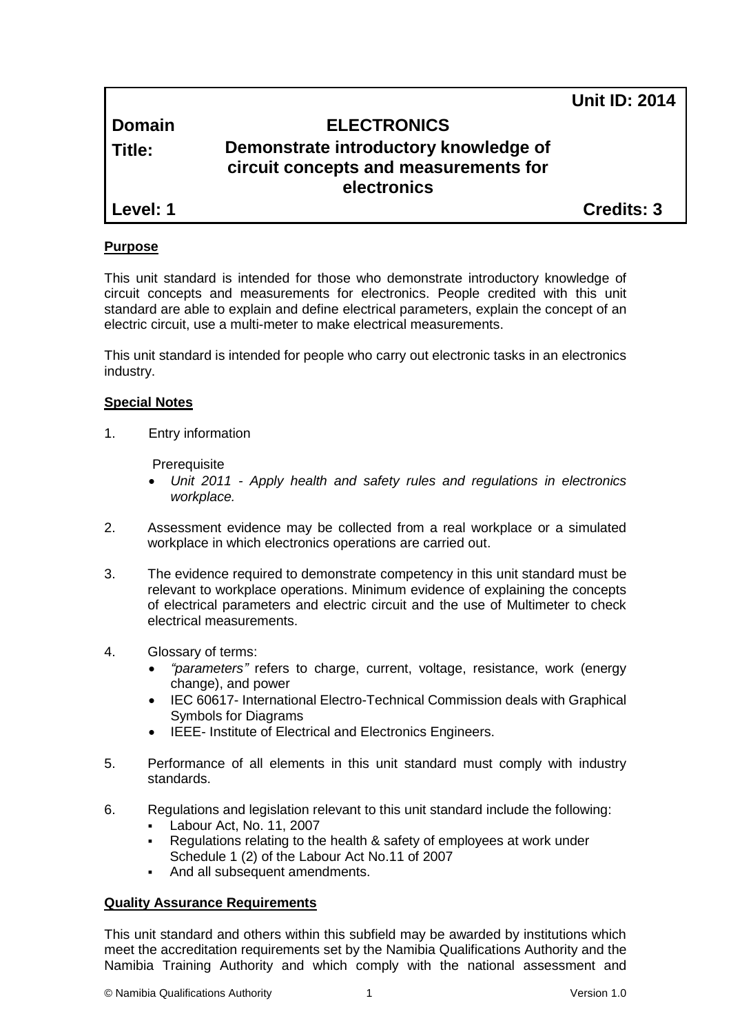**Unit ID: 2014**

# **Domain ELECTRONICS**

# **Title: Demonstrate introductory knowledge of circuit concepts and measurements for electronics**

**Level: 1 Credits: 3**

## **Purpose**

This unit standard is intended for those who demonstrate introductory knowledge of circuit concepts and measurements for electronics. People credited with this unit standard are able to explain and define electrical parameters, explain the concept of an electric circuit, use a multi-meter to make electrical measurements.

This unit standard is intended for people who carry out electronic tasks in an electronics industry.

## **Special Notes**

1. Entry information

**Prerequisite** 

- *Unit 2011 - Apply health and safety rules and regulations in electronics workplace.*
- 2. Assessment evidence may be collected from a real workplace or a simulated workplace in which electronics operations are carried out.
- 3. The evidence required to demonstrate competency in this unit standard must be relevant to workplace operations. Minimum evidence of explaining the concepts of electrical parameters and electric circuit and the use of Multimeter to check electrical measurements.
- 4. Glossary of terms:
	- *"parameters"* refers to charge, current, voltage, resistance, work (energy change), and power
	- IEC 60617- International Electro-Technical Commission deals with Graphical Symbols for Diagrams
	- IEEE- Institute of Electrical and Electronics Engineers.
- 5. Performance of all elements in this unit standard must comply with industry standards.
- 6. Regulations and legislation relevant to this unit standard include the following:
	- Labour Act, No. 11, 2007
	- Regulations relating to the health & safety of employees at work under Schedule 1 (2) of the Labour Act No.11 of 2007
	- And all subsequent amendments.

## **Quality Assurance Requirements**

This unit standard and others within this subfield may be awarded by institutions which meet the accreditation requirements set by the Namibia Qualifications Authority and the Namibia Training Authority and which comply with the national assessment and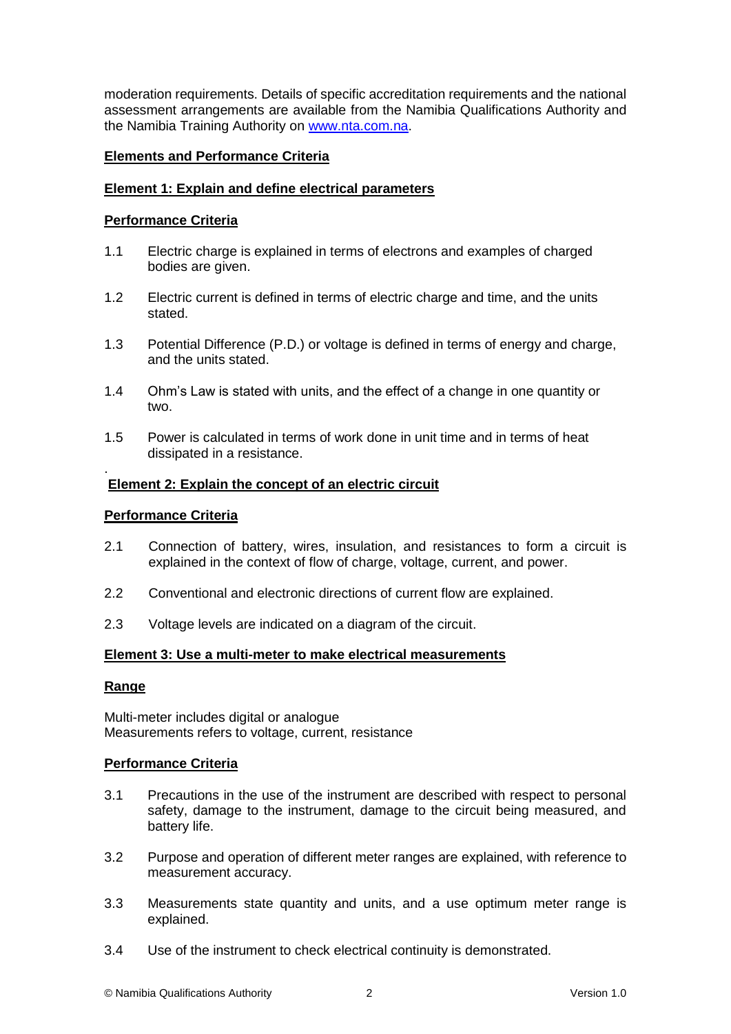moderation requirements. Details of specific accreditation requirements and the national assessment arrangements are available from the Namibia Qualifications Authority and the Namibia Training Authority on [www.nta.com.na.](http://www.nta.com.na/)

## **Elements and Performance Criteria**

## **Element 1: Explain and define electrical parameters**

### **Performance Criteria**

- 1.1 Electric charge is explained in terms of electrons and examples of charged bodies are given.
- 1.2 Electric current is defined in terms of electric charge and time, and the units stated.
- 1.3 Potential Difference (P.D.) or voltage is defined in terms of energy and charge, and the units stated.
- 1.4 Ohm's Law is stated with units, and the effect of a change in one quantity or two.
- 1.5 Power is calculated in terms of work done in unit time and in terms of heat dissipated in a resistance.

#### . **Element 2: Explain the concept of an electric circuit**

#### **Performance Criteria**

- 2.1 Connection of battery, wires, insulation, and resistances to form a circuit is explained in the context of flow of charge, voltage, current, and power.
- 2.2 Conventional and electronic directions of current flow are explained.
- 2.3 Voltage levels are indicated on a diagram of the circuit.

#### **Element 3: Use a multi-meter to make electrical measurements**

#### **Range**

Multi-meter includes digital or analogue Measurements refers to voltage, current, resistance

#### **Performance Criteria**

- 3.1 Precautions in the use of the instrument are described with respect to personal safety, damage to the instrument, damage to the circuit being measured, and battery life.
- 3.2 Purpose and operation of different meter ranges are explained, with reference to measurement accuracy.
- 3.3 Measurements state quantity and units, and a use optimum meter range is explained.
- 3.4 Use of the instrument to check electrical continuity is demonstrated.